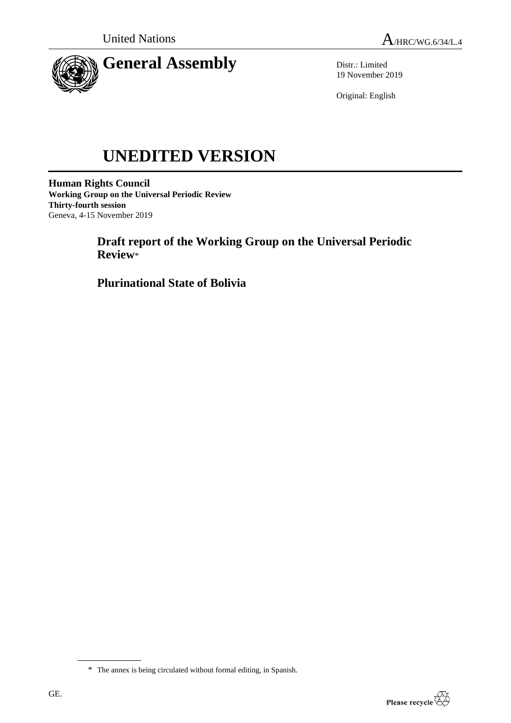

Distr.: Limited 19 November 2019

Original: English

# **UNEDITED VERSION**

**Human Rights Council Working Group on the Universal Periodic Review Thirty-fourth session** Geneva, 4-15 November 2019

> **Draft report of the Working Group on the Universal Periodic Review**\*

**Plurinational State of Bolivia**



<sup>\*</sup> The annex is being circulated without formal editing, in Spanish.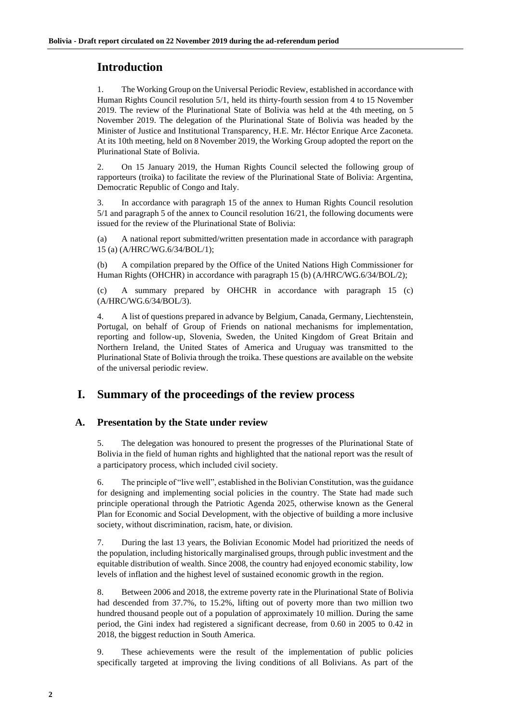## **Introduction**

1. The Working Group on the Universal Periodic Review, established in accordance with Human Rights Council resolution 5/1, held its thirty-fourth session from 4 to 15 November 2019. The review of the Plurinational State of Bolivia was held at the 4th meeting, on 5 November 2019. The delegation of the Plurinational State of Bolivia was headed by the Minister of Justice and Institutional Transparency, H.E. Mr. Héctor Enrique Arce Zaconeta. At its 10th meeting, held on 8 November 2019, the Working Group adopted the report on the Plurinational State of Bolivia.

2. On 15 January 2019, the Human Rights Council selected the following group of rapporteurs (troika) to facilitate the review of the Plurinational State of Bolivia: Argentina, Democratic Republic of Congo and Italy.

3. In accordance with paragraph 15 of the annex to Human Rights Council resolution 5/1 and paragraph 5 of the annex to Council resolution 16/21, the following documents were issued for the review of the Plurinational State of Bolivia:

(a) A national report submitted/written presentation made in accordance with paragraph 15 (a) (A/HRC/WG.6/34/BOL/1);

(b) A compilation prepared by the Office of the United Nations High Commissioner for Human Rights (OHCHR) in accordance with paragraph 15 (b) (A/HRC/WG.6/34/BOL/2);

(c) A summary prepared by OHCHR in accordance with paragraph 15 (c) (A/HRC/WG.6/34/BOL/3).

4. A list of questions prepared in advance by Belgium, Canada, Germany, Liechtenstein, Portugal, on behalf of Group of Friends on national mechanisms for implementation, reporting and follow-up, Slovenia, Sweden, the United Kingdom of Great Britain and Northern Ireland, the United States of America and Uruguay was transmitted to the Plurinational State of Bolivia through the troika. These questions are available on the website of the universal periodic review.

## **I. Summary of the proceedings of the review process**

### **A. Presentation by the State under review**

5. The delegation was honoured to present the progresses of the Plurinational State of Bolivia in the field of human rights and highlighted that the national report was the result of a participatory process, which included civil society.

6. The principle of "live well", established in the Bolivian Constitution, was the guidance for designing and implementing social policies in the country. The State had made such principle operational through the Patriotic Agenda 2025, otherwise known as the General Plan for Economic and Social Development, with the objective of building a more inclusive society, without discrimination, racism, hate, or division.

7. During the last 13 years, the Bolivian Economic Model had prioritized the needs of the population, including historically marginalised groups, through public investment and the equitable distribution of wealth. Since 2008, the country had enjoyed economic stability, low levels of inflation and the highest level of sustained economic growth in the region.

8. Between 2006 and 2018, the extreme poverty rate in the Plurinational State of Bolivia had descended from 37.7%, to 15.2%, lifting out of poverty more than two million two hundred thousand people out of a population of approximately 10 million. During the same period, the Gini index had registered a significant decrease, from 0.60 in 2005 to 0.42 in 2018, the biggest reduction in South America.

9. These achievements were the result of the implementation of public policies specifically targeted at improving the living conditions of all Bolivians. As part of the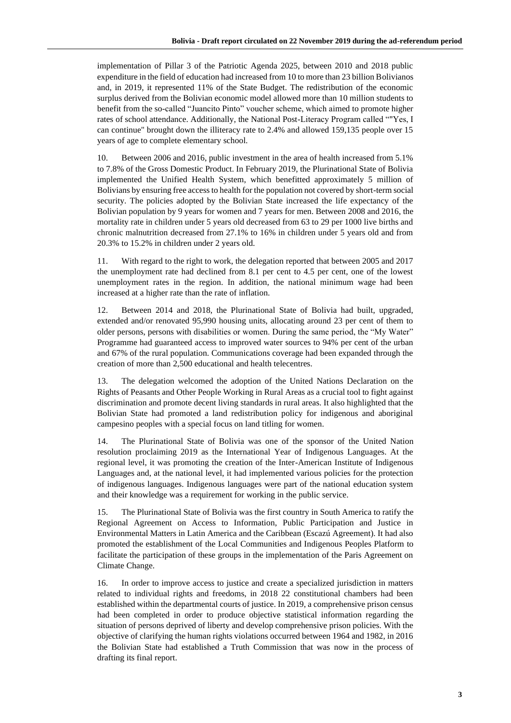implementation of Pillar 3 of the Patriotic Agenda 2025, between 2010 and 2018 public expenditure in the field of education had increased from 10 to more than 23 billion Bolivianos and, in 2019, it represented 11% of the State Budget. The redistribution of the economic surplus derived from the Bolivian economic model allowed more than 10 million students to benefit from the so-called "Juancito Pinto" voucher scheme, which aimed to promote higher rates of school attendance. Additionally, the National Post-Literacy Program called ""Yes, I can continue" brought down the illiteracy rate to 2.4% and allowed 159,135 people over 15 years of age to complete elementary school.

10. Between 2006 and 2016, public investment in the area of health increased from 5.1% to 7.8% of the Gross Domestic Product. In February 2019, the Plurinational State of Bolivia implemented the Unified Health System, which benefitted approximately 5 million of Bolivians by ensuring free access to health for the population not covered by short-term social security. The policies adopted by the Bolivian State increased the life expectancy of the Bolivian population by 9 years for women and 7 years for men. Between 2008 and 2016, the mortality rate in children under 5 years old decreased from 63 to 29 per 1000 live births and chronic malnutrition decreased from 27.1% to 16% in children under 5 years old and from 20.3% to 15.2% in children under 2 years old.

11. With regard to the right to work, the delegation reported that between 2005 and 2017 the unemployment rate had declined from 8.1 per cent to 4.5 per cent, one of the lowest unemployment rates in the region. In addition, the national minimum wage had been increased at a higher rate than the rate of inflation.

12. Between 2014 and 2018, the Plurinational State of Bolivia had built, upgraded, extended and/or renovated 95,990 housing units, allocating around 23 per cent of them to older persons, persons with disabilities or women. During the same period, the "My Water" Programme had guaranteed access to improved water sources to 94% per cent of the urban and 67% of the rural population. Communications coverage had been expanded through the creation of more than 2,500 educational and health telecentres.

13. The delegation welcomed the adoption of the United Nations Declaration on the Rights of Peasants and Other People Working in Rural Areas as a crucial tool to fight against discrimination and promote decent living standards in rural areas. It also highlighted that the Bolivian State had promoted a land redistribution policy for indigenous and aboriginal campesino peoples with a special focus on land titling for women.

14. The Plurinational State of Bolivia was one of the sponsor of the United Nation resolution proclaiming 2019 as the International Year of Indigenous Languages. At the regional level, it was promoting the creation of the Inter-American Institute of Indigenous Languages and, at the national level, it had implemented various policies for the protection of indigenous languages. Indigenous languages were part of the national education system and their knowledge was a requirement for working in the public service.

15. The Plurinational State of Bolivia was the first country in South America to ratify the Regional Agreement on Access to Information, Public Participation and Justice in Environmental Matters in Latin America and the Caribbean (Escazú Agreement). It had also promoted the establishment of the Local Communities and Indigenous Peoples Platform to facilitate the participation of these groups in the implementation of the Paris Agreement on Climate Change.

16. In order to improve access to justice and create a specialized jurisdiction in matters related to individual rights and freedoms, in 2018 22 constitutional chambers had been established within the departmental courts of justice. In 2019, a comprehensive prison census had been completed in order to produce objective statistical information regarding the situation of persons deprived of liberty and develop comprehensive prison policies. With the objective of clarifying the human rights violations occurred between 1964 and 1982, in 2016 the Bolivian State had established a Truth Commission that was now in the process of drafting its final report.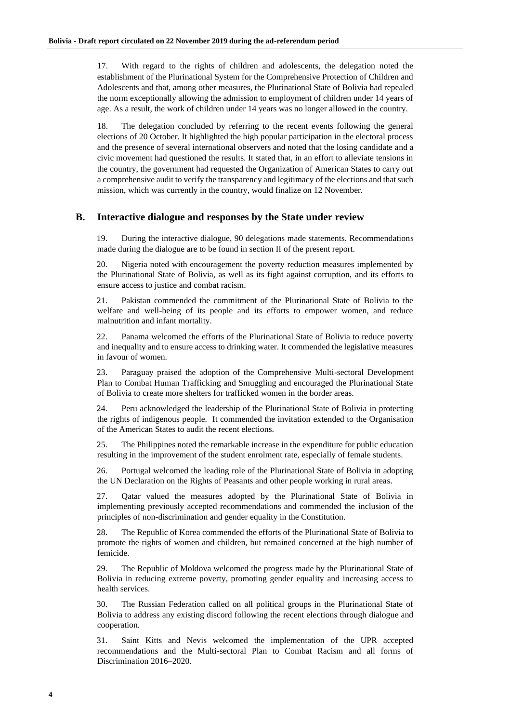17. With regard to the rights of children and adolescents, the delegation noted the establishment of the Plurinational System for the Comprehensive Protection of Children and Adolescents and that, among other measures, the Plurinational State of Bolivia had repealed the norm exceptionally allowing the admission to employment of children under 14 years of age. As a result, the work of children under 14 years was no longer allowed in the country.

18. The delegation concluded by referring to the recent events following the general elections of 20 October. It highlighted the high popular participation in the electoral process and the presence of several international observers and noted that the losing candidate and a civic movement had questioned the results. It stated that, in an effort to alleviate tensions in the country, the government had requested the Organization of American States to carry out a comprehensive audit to verify the transparency and legitimacy of the elections and that such mission, which was currently in the country, would finalize on 12 November.

#### **B. Interactive dialogue and responses by the State under review**

19. During the interactive dialogue, 90 delegations made statements. Recommendations made during the dialogue are to be found in section II of the present report.

20. Nigeria noted with encouragement the poverty reduction measures implemented by the Plurinational State of Bolivia, as well as its fight against corruption, and its efforts to ensure access to justice and combat racism.

21. Pakistan commended the commitment of the Plurinational State of Bolivia to the welfare and well-being of its people and its efforts to empower women, and reduce malnutrition and infant mortality.

22. Panama welcomed the efforts of the Plurinational State of Bolivia to reduce poverty and inequality and to ensure access to drinking water. It commended the legislative measures in favour of women.

23. Paraguay praised the adoption of the Comprehensive Multi-sectoral Development Plan to Combat Human Trafficking and Smuggling and encouraged the Plurinational State of Bolivia to create more shelters for trafficked women in the border areas.

24. Peru acknowledged the leadership of the Plurinational State of Bolivia in protecting the rights of indigenous people. It commended the invitation extended to the Organisation of the American States to audit the recent elections.

25. The Philippines noted the remarkable increase in the expenditure for public education resulting in the improvement of the student enrolment rate, especially of female students.

26. Portugal welcomed the leading role of the Plurinational State of Bolivia in adopting the UN Declaration on the Rights of Peasants and other people working in rural areas.

27. Qatar valued the measures adopted by the Plurinational State of Bolivia in implementing previously accepted recommendations and commended the inclusion of the principles of non-discrimination and gender equality in the Constitution.

28. The Republic of Korea commended the efforts of the Plurinational State of Bolivia to promote the rights of women and children, but remained concerned at the high number of femicide.

29. The Republic of Moldova welcomed the progress made by the Plurinational State of Bolivia in reducing extreme poverty, promoting gender equality and increasing access to health services.

30. The Russian Federation called on all political groups in the Plurinational State of Bolivia to address any existing discord following the recent elections through dialogue and cooperation.

31. Saint Kitts and Nevis welcomed the implementation of the UPR accepted recommendations and the Multi-sectoral Plan to Combat Racism and all forms of Discrimination 2016–2020.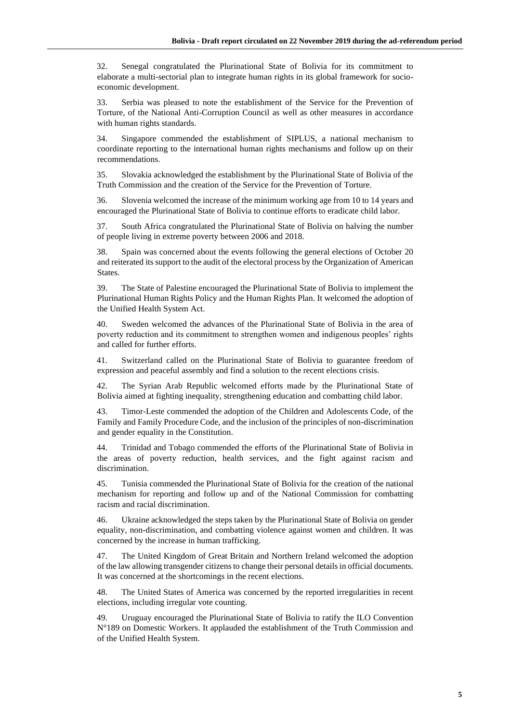32. Senegal congratulated the Plurinational State of Bolivia for its commitment to elaborate a multi-sectorial plan to integrate human rights in its global framework for socioeconomic development.

33. Serbia was pleased to note the establishment of the Service for the Prevention of Torture, of the National Anti-Corruption Council as well as other measures in accordance with human rights standards.

34. Singapore commended the establishment of SIPLUS, a national mechanism to coordinate reporting to the international human rights mechanisms and follow up on their recommendations.

35. Slovakia acknowledged the establishment by the Plurinational State of Bolivia of the Truth Commission and the creation of the Service for the Prevention of Torture.

36. Slovenia welcomed the increase of the minimum working age from 10 to 14 years and encouraged the Plurinational State of Bolivia to continue efforts to eradicate child labor.

37. South Africa congratulated the Plurinational State of Bolivia on halving the number of people living in extreme poverty between 2006 and 2018.

38. Spain was concerned about the events following the general elections of October 20 and reiterated its support to the audit of the electoral process by the Organization of American States.

39. The State of Palestine encouraged the Plurinational State of Bolivia to implement the Plurinational Human Rights Policy and the Human Rights Plan. It welcomed the adoption of the Unified Health System Act.

40. Sweden welcomed the advances of the Plurinational State of Bolivia in the area of poverty reduction and its commitment to strengthen women and indigenous peoples' rights and called for further efforts.

41. Switzerland called on the Plurinational State of Bolivia to guarantee freedom of expression and peaceful assembly and find a solution to the recent elections crisis.

42. The Syrian Arab Republic welcomed efforts made by the Plurinational State of Bolivia aimed at fighting inequality, strengthening education and combatting child labor.

43. Timor-Leste commended the adoption of the Children and Adolescents Code, of the Family and Family Procedure Code, and the inclusion of the principles of non-discrimination and gender equality in the Constitution.

44. Trinidad and Tobago commended the efforts of the Plurinational State of Bolivia in the areas of poverty reduction, health services, and the fight against racism and discrimination.

45. Tunisia commended the Plurinational State of Bolivia for the creation of the national mechanism for reporting and follow up and of the National Commission for combatting racism and racial discrimination.

46. Ukraine acknowledged the steps taken by the Plurinational State of Bolivia on gender equality, non-discrimination, and combatting violence against women and children. It was concerned by the increase in human trafficking.

47. The United Kingdom of Great Britain and Northern Ireland welcomed the adoption of the law allowing transgender citizens to change their personal details in official documents. It was concerned at the shortcomings in the recent elections.

48. The United States of America was concerned by the reported irregularities in recent elections, including irregular vote counting.

49. Uruguay encouraged the Plurinational State of Bolivia to ratify the ILO Convention N°189 on Domestic Workers. It applauded the establishment of the Truth Commission and of the Unified Health System.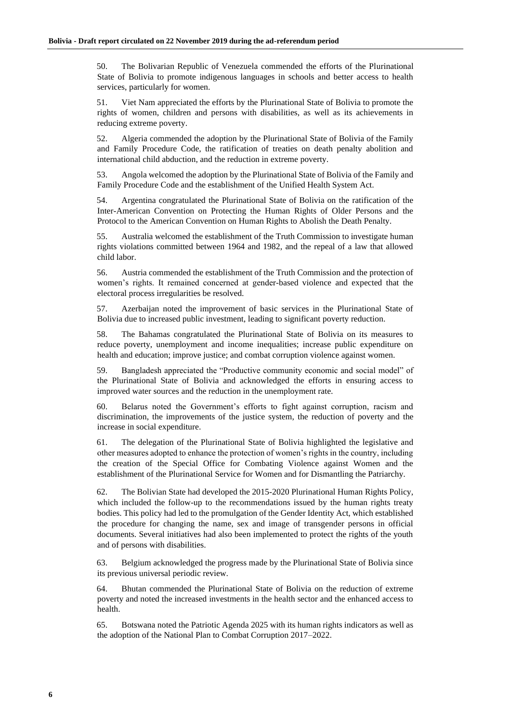50. The Bolivarian Republic of Venezuela commended the efforts of the Plurinational State of Bolivia to promote indigenous languages in schools and better access to health services, particularly for women.

51. Viet Nam appreciated the efforts by the Plurinational State of Bolivia to promote the rights of women, children and persons with disabilities, as well as its achievements in reducing extreme poverty.

52. Algeria commended the adoption by the Plurinational State of Bolivia of the Family and Family Procedure Code, the ratification of treaties on death penalty abolition and international child abduction, and the reduction in extreme poverty.

53. Angola welcomed the adoption by the Plurinational State of Bolivia of the Family and Family Procedure Code and the establishment of the Unified Health System Act.

54. Argentina congratulated the Plurinational State of Bolivia on the ratification of the Inter-American Convention on Protecting the Human Rights of Older Persons and the Protocol to the American Convention on Human Rights to Abolish the Death Penalty.

55. Australia welcomed the establishment of the Truth Commission to investigate human rights violations committed between 1964 and 1982, and the repeal of a law that allowed child labor.

56. Austria commended the establishment of the Truth Commission and the protection of women's rights. It remained concerned at gender-based violence and expected that the electoral process irregularities be resolved.

57. Azerbaijan noted the improvement of basic services in the Plurinational State of Bolivia due to increased public investment, leading to significant poverty reduction.

58. The Bahamas congratulated the Plurinational State of Bolivia on its measures to reduce poverty, unemployment and income inequalities; increase public expenditure on health and education; improve justice; and combat corruption violence against women.

59. Bangladesh appreciated the "Productive community economic and social model" of the Plurinational State of Bolivia and acknowledged the efforts in ensuring access to improved water sources and the reduction in the unemployment rate.

60. Belarus noted the Government's efforts to fight against corruption, racism and discrimination, the improvements of the justice system, the reduction of poverty and the increase in social expenditure.

61. The delegation of the Plurinational State of Bolivia highlighted the legislative and other measures adopted to enhance the protection of women's rights in the country, including the creation of the Special Office for Combating Violence against Women and the establishment of the Plurinational Service for Women and for Dismantling the Patriarchy.

62. The Bolivian State had developed the 2015-2020 Plurinational Human Rights Policy, which included the follow-up to the recommendations issued by the human rights treaty bodies. This policy had led to the promulgation of the Gender Identity Act, which established the procedure for changing the name, sex and image of transgender persons in official documents. Several initiatives had also been implemented to protect the rights of the youth and of persons with disabilities.

63. Belgium acknowledged the progress made by the Plurinational State of Bolivia since its previous universal periodic review.

64. Bhutan commended the Plurinational State of Bolivia on the reduction of extreme poverty and noted the increased investments in the health sector and the enhanced access to health.

65. Botswana noted the Patriotic Agenda 2025 with its human rights indicators as well as the adoption of the National Plan to Combat Corruption 2017–2022.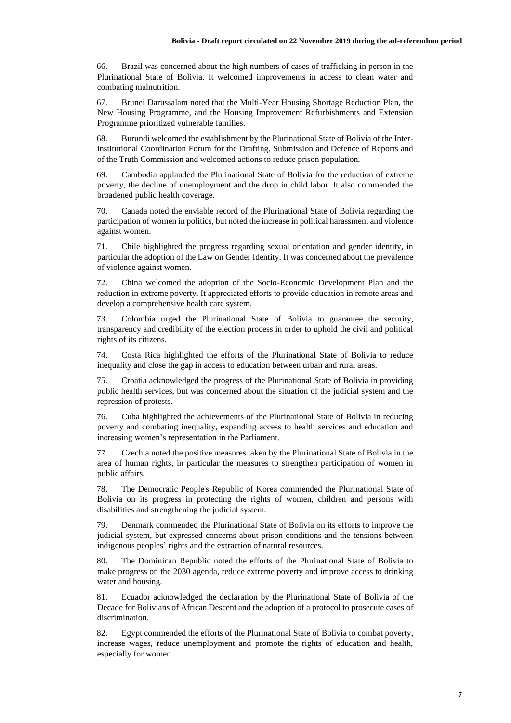66. Brazil was concerned about the high numbers of cases of trafficking in person in the Plurinational State of Bolivia. It welcomed improvements in access to clean water and combating malnutrition.

67. Brunei Darussalam noted that the Multi-Year Housing Shortage Reduction Plan, the New Housing Programme, and the Housing Improvement Refurbishments and Extension Programme prioritized vulnerable families.

68. Burundi welcomed the establishment by the Plurinational State of Bolivia of the Interinstitutional Coordination Forum for the Drafting, Submission and Defence of Reports and of the Truth Commission and welcomed actions to reduce prison population.

69. Cambodia applauded the Plurinational State of Bolivia for the reduction of extreme poverty, the decline of unemployment and the drop in child labor. It also commended the broadened public health coverage.

70. Canada noted the enviable record of the Plurinational State of Bolivia regarding the participation of women in politics, but noted the increase in political harassment and violence against women.

71. Chile highlighted the progress regarding sexual orientation and gender identity, in particular the adoption of the Law on Gender Identity. It was concerned about the prevalence of violence against women.

72. China welcomed the adoption of the Socio-Economic Development Plan and the reduction in extreme poverty. It appreciated efforts to provide education in remote areas and develop a comprehensive health care system.

73. Colombia urged the Plurinational State of Bolivia to guarantee the security, transparency and credibility of the election process in order to uphold the civil and political rights of its citizens.

74. Costa Rica highlighted the efforts of the Plurinational State of Bolivia to reduce inequality and close the gap in access to education between urban and rural areas.

75. Croatia acknowledged the progress of the Plurinational State of Bolivia in providing public health services, but was concerned about the situation of the judicial system and the repression of protests.

76. Cuba highlighted the achievements of the Plurinational State of Bolivia in reducing poverty and combating inequality, expanding access to health services and education and increasing women's representation in the Parliament.

77. Czechia noted the positive measures taken by the Plurinational State of Bolivia in the area of human rights, in particular the measures to strengthen participation of women in public affairs.

78. The Democratic People's Republic of Korea commended the Plurinational State of Bolivia on its progress in protecting the rights of women, children and persons with disabilities and strengthening the judicial system.

79. Denmark commended the Plurinational State of Bolivia on its efforts to improve the judicial system, but expressed concerns about prison conditions and the tensions between indigenous peoples' rights and the extraction of natural resources.

80. The Dominican Republic noted the efforts of the Plurinational State of Bolivia to make progress on the 2030 agenda, reduce extreme poverty and improve access to drinking water and housing.

81. Ecuador acknowledged the declaration by the Plurinational State of Bolivia of the Decade for Bolivians of African Descent and the adoption of a protocol to prosecute cases of discrimination.

82. Egypt commended the efforts of the Plurinational State of Bolivia to combat poverty, increase wages, reduce unemployment and promote the rights of education and health, especially for women.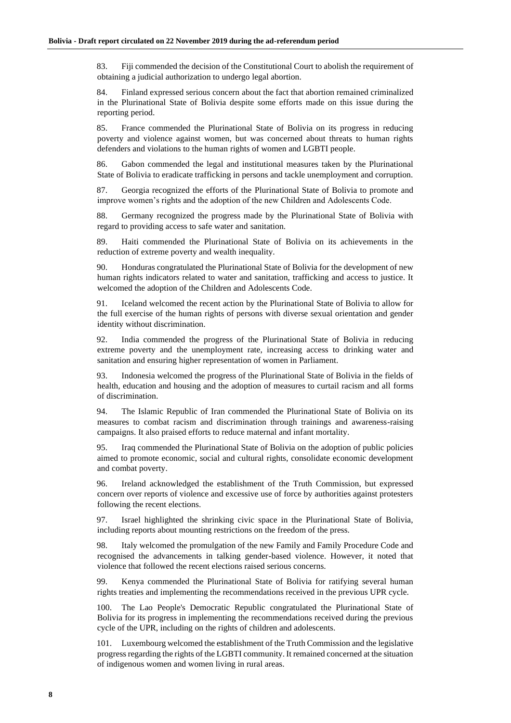83. Fiji commended the decision of the Constitutional Court to abolish the requirement of obtaining a judicial authorization to undergo legal abortion.

84. Finland expressed serious concern about the fact that abortion remained criminalized in the Plurinational State of Bolivia despite some efforts made on this issue during the reporting period.

85. France commended the Plurinational State of Bolivia on its progress in reducing poverty and violence against women, but was concerned about threats to human rights defenders and violations to the human rights of women and LGBTI people.

86. Gabon commended the legal and institutional measures taken by the Plurinational State of Bolivia to eradicate trafficking in persons and tackle unemployment and corruption.

87. Georgia recognized the efforts of the Plurinational State of Bolivia to promote and improve women's rights and the adoption of the new Children and Adolescents Code.

88. Germany recognized the progress made by the Plurinational State of Bolivia with regard to providing access to safe water and sanitation.

89. Haiti commended the Plurinational State of Bolivia on its achievements in the reduction of extreme poverty and wealth inequality.

90. Honduras congratulated the Plurinational State of Bolivia for the development of new human rights indicators related to water and sanitation, trafficking and access to justice. It welcomed the adoption of the Children and Adolescents Code.

91. Iceland welcomed the recent action by the Plurinational State of Bolivia to allow for the full exercise of the human rights of persons with diverse sexual orientation and gender identity without discrimination.

92. India commended the progress of the Plurinational State of Bolivia in reducing extreme poverty and the unemployment rate, increasing access to drinking water and sanitation and ensuring higher representation of women in Parliament.

93. Indonesia welcomed the progress of the Plurinational State of Bolivia in the fields of health, education and housing and the adoption of measures to curtail racism and all forms of discrimination.

94. The Islamic Republic of Iran commended the Plurinational State of Bolivia on its measures to combat racism and discrimination through trainings and awareness-raising campaigns. It also praised efforts to reduce maternal and infant mortality.

95. Iraq commended the Plurinational State of Bolivia on the adoption of public policies aimed to promote economic, social and cultural rights, consolidate economic development and combat poverty.

96. Ireland acknowledged the establishment of the Truth Commission, but expressed concern over reports of violence and excessive use of force by authorities against protesters following the recent elections.

97. Israel highlighted the shrinking civic space in the Plurinational State of Bolivia, including reports about mounting restrictions on the freedom of the press.

98. Italy welcomed the promulgation of the new Family and Family Procedure Code and recognised the advancements in talking gender-based violence. However, it noted that violence that followed the recent elections raised serious concerns.

99. Kenya commended the Plurinational State of Bolivia for ratifying several human rights treaties and implementing the recommendations received in the previous UPR cycle.

100. The Lao People's Democratic Republic congratulated the Plurinational State of Bolivia for its progress in implementing the recommendations received during the previous cycle of the UPR, including on the rights of children and adolescents.

Luxembourg welcomed the establishment of the Truth Commission and the legislative progress regarding the rights of the LGBTI community. It remained concerned at the situation of indigenous women and women living in rural areas.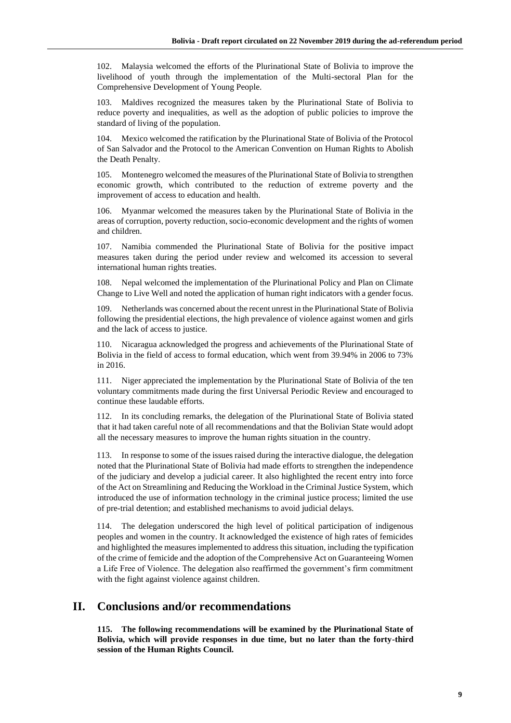102. Malaysia welcomed the efforts of the Plurinational State of Bolivia to improve the livelihood of youth through the implementation of the Multi-sectoral Plan for the Comprehensive Development of Young People.

103. Maldives recognized the measures taken by the Plurinational State of Bolivia to reduce poverty and inequalities, as well as the adoption of public policies to improve the standard of living of the population.

104. Mexico welcomed the ratification by the Plurinational State of Bolivia of the Protocol of San Salvador and the Protocol to the American Convention on Human Rights to Abolish the Death Penalty.

105. Montenegro welcomed the measures of the Plurinational State of Bolivia to strengthen economic growth, which contributed to the reduction of extreme poverty and the improvement of access to education and health.

106. Myanmar welcomed the measures taken by the Plurinational State of Bolivia in the areas of corruption, poverty reduction, socio-economic development and the rights of women and children.

107. Namibia commended the Plurinational State of Bolivia for the positive impact measures taken during the period under review and welcomed its accession to several international human rights treaties.

108. Nepal welcomed the implementation of the Plurinational Policy and Plan on Climate Change to Live Well and noted the application of human right indicators with a gender focus.

109. Netherlands was concerned about the recent unrest in the Plurinational State of Bolivia following the presidential elections, the high prevalence of violence against women and girls and the lack of access to justice.

110. Nicaragua acknowledged the progress and achievements of the Plurinational State of Bolivia in the field of access to formal education, which went from 39.94% in 2006 to 73% in 2016.

111. Niger appreciated the implementation by the Plurinational State of Bolivia of the ten voluntary commitments made during the first Universal Periodic Review and encouraged to continue these laudable efforts.

112. In its concluding remarks, the delegation of the Plurinational State of Bolivia stated that it had taken careful note of all recommendations and that the Bolivian State would adopt all the necessary measures to improve the human rights situation in the country.

In response to some of the issues raised during the interactive dialogue, the delegation noted that the Plurinational State of Bolivia had made efforts to strengthen the independence of the judiciary and develop a judicial career. It also highlighted the recent entry into force of the Act on Streamlining and Reducing the Workload in the Criminal Justice System, which introduced the use of information technology in the criminal justice process; limited the use of pre-trial detention; and established mechanisms to avoid judicial delays.

114. The delegation underscored the high level of political participation of indigenous peoples and women in the country. It acknowledged the existence of high rates of femicides and highlighted the measures implemented to address this situation, including the typification of the crime of femicide and the adoption of the Comprehensive Act on Guaranteeing Women a Life Free of Violence. The delegation also reaffirmed the government's firm commitment with the fight against violence against children.

## **II. Conclusions and/or recommendations**

**115. The following recommendations will be examined by the Plurinational State of Bolivia, which will provide responses in due time, but no later than the forty-third session of the Human Rights Council.**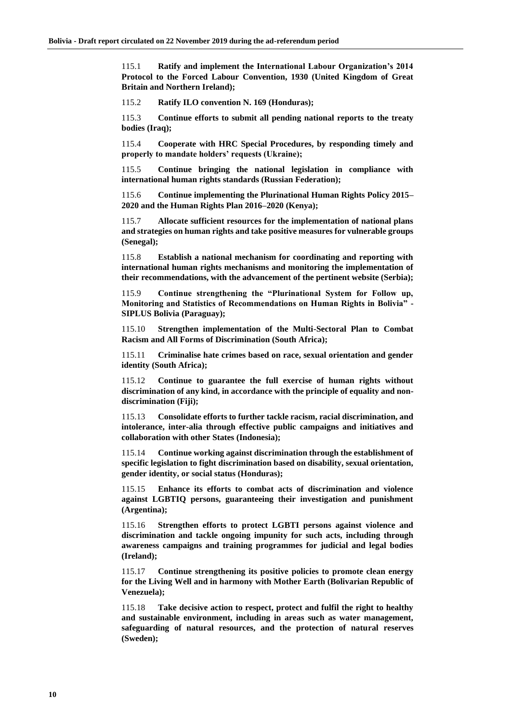115.1 **Ratify and implement the International Labour Organization's 2014 Protocol to the Forced Labour Convention, 1930 (United Kingdom of Great Britain and Northern Ireland);**

115.2 **Ratify ILO convention N. 169 (Honduras);**

115.3 **Continue efforts to submit all pending national reports to the treaty bodies (Iraq);**

115.4 **Cooperate with HRC Special Procedures, by responding timely and properly to mandate holders' requests (Ukraine);**

115.5 **Continue bringing the national legislation in compliance with international human rights standards (Russian Federation);**

115.6 **Continue implementing the Plurinational Human Rights Policy 2015– 2020 and the Human Rights Plan 2016–2020 (Kenya);**

115.7 **Allocate sufficient resources for the implementation of national plans and strategies on human rights and take positive measures for vulnerable groups (Senegal);**

115.8 **Establish a national mechanism for coordinating and reporting with international human rights mechanisms and monitoring the implementation of their recommendations, with the advancement of the pertinent website (Serbia);**

115.9 **Continue strengthening the "Plurinational System for Follow up, Monitoring and Statistics of Recommendations on Human Rights in Bolivia" - SIPLUS Bolivia (Paraguay);**

115.10 **Strengthen implementation of the Multi-Sectoral Plan to Combat Racism and All Forms of Discrimination (South Africa);**

115.11 **Criminalise hate crimes based on race, sexual orientation and gender identity (South Africa);**

115.12 **Continue to guarantee the full exercise of human rights without discrimination of any kind, in accordance with the principle of equality and nondiscrimination (Fiji);**

115.13 **Consolidate efforts to further tackle racism, racial discrimination, and intolerance, inter-alia through effective public campaigns and initiatives and collaboration with other States (Indonesia);**

115.14 **Continue working against discrimination through the establishment of specific legislation to fight discrimination based on disability, sexual orientation, gender identity, or social status (Honduras);**

115.15 **Enhance its efforts to combat acts of discrimination and violence against LGBTIQ persons, guaranteeing their investigation and punishment (Argentina);**

115.16 **Strengthen efforts to protect LGBTI persons against violence and discrimination and tackle ongoing impunity for such acts, including through awareness campaigns and training programmes for judicial and legal bodies (Ireland);**

115.17 **Continue strengthening its positive policies to promote clean energy for the Living Well and in harmony with Mother Earth (Bolivarian Republic of Venezuela);**

115.18 **Take decisive action to respect, protect and fulfil the right to healthy and sustainable environment, including in areas such as water management, safeguarding of natural resources, and the protection of natural reserves (Sweden);**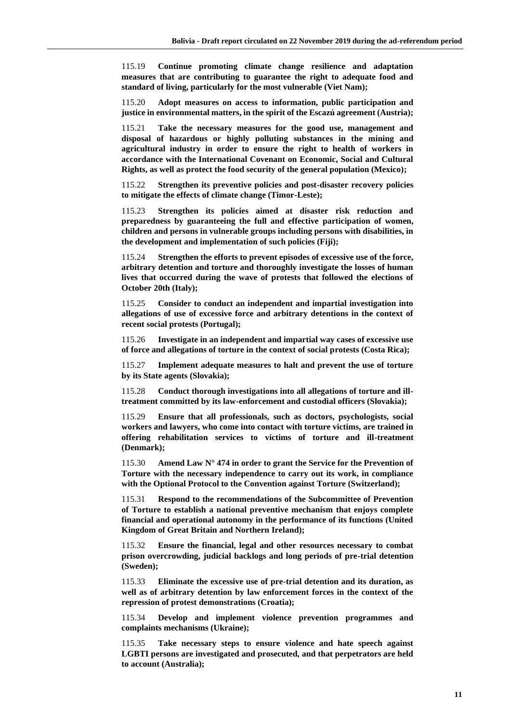115.19 **Continue promoting climate change resilience and adaptation measures that are contributing to guarantee the right to adequate food and standard of living, particularly for the most vulnerable (Viet Nam);**

115.20 **Adopt measures on access to information, public participation and justice in environmental matters, in the spirit of the Escazú agreement (Austria);**

115.21 **Take the necessary measures for the good use, management and disposal of hazardous or highly polluting substances in the mining and agricultural industry in order to ensure the right to health of workers in accordance with the International Covenant on Economic, Social and Cultural Rights, as well as protect the food security of the general population (Mexico);**

115.22 **Strengthen its preventive policies and post-disaster recovery policies to mitigate the effects of climate change (Timor-Leste);**

115.23 **Strengthen its policies aimed at disaster risk reduction and preparedness by guaranteeing the full and effective participation of women, children and persons in vulnerable groups including persons with disabilities, in the development and implementation of such policies (Fiji);**

115.24 **Strengthen the efforts to prevent episodes of excessive use of the force, arbitrary detention and torture and thoroughly investigate the losses of human lives that occurred during the wave of protests that followed the elections of October 20th (Italy);**

115.25 **Consider to conduct an independent and impartial investigation into allegations of use of excessive force and arbitrary detentions in the context of recent social protests (Portugal);**

115.26 **Investigate in an independent and impartial way cases of excessive use of force and allegations of torture in the context of social protests (Costa Rica);**

115.27 **Implement adequate measures to halt and prevent the use of torture by its State agents (Slovakia);**

115.28 **Conduct thorough investigations into all allegations of torture and illtreatment committed by its law-enforcement and custodial officers (Slovakia);**

115.29 **Ensure that all professionals, such as doctors, psychologists, social workers and lawyers, who come into contact with torture victims, are trained in offering rehabilitation services to victims of torture and ill-treatment (Denmark);**

115.30 **Amend Law N° 474 in order to grant the Service for the Prevention of Torture with the necessary independence to carry out its work, in compliance with the Optional Protocol to the Convention against Torture (Switzerland);**

115.31 **Respond to the recommendations of the Subcommittee of Prevention of Torture to establish a national preventive mechanism that enjoys complete financial and operational autonomy in the performance of its functions (United Kingdom of Great Britain and Northern Ireland);**

115.32 **Ensure the financial, legal and other resources necessary to combat prison overcrowding, judicial backlogs and long periods of pre-trial detention (Sweden);**

115.33 **Eliminate the excessive use of pre-trial detention and its duration, as well as of arbitrary detention by law enforcement forces in the context of the repression of protest demonstrations (Croatia);**

115.34 **Develop and implement violence prevention programmes and complaints mechanisms (Ukraine);**

115.35 **Take necessary steps to ensure violence and hate speech against LGBTI persons are investigated and prosecuted, and that perpetrators are held to account (Australia);**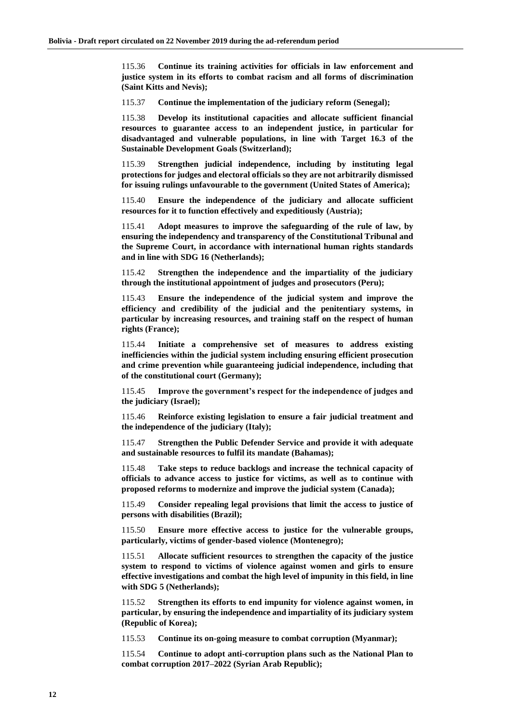115.36 **Continue its training activities for officials in law enforcement and justice system in its efforts to combat racism and all forms of discrimination (Saint Kitts and Nevis);**

115.37 **Continue the implementation of the judiciary reform (Senegal);**

115.38 **Develop its institutional capacities and allocate sufficient financial resources to guarantee access to an independent justice, in particular for disadvantaged and vulnerable populations, in line with Target 16.3 of the Sustainable Development Goals (Switzerland);**

115.39 **Strengthen judicial independence, including by instituting legal protections for judges and electoral officials so they are not arbitrarily dismissed for issuing rulings unfavourable to the government (United States of America);**

115.40 **Ensure the independence of the judiciary and allocate sufficient resources for it to function effectively and expeditiously (Austria);**

115.41 **Adopt measures to improve the safeguarding of the rule of law, by ensuring the independency and transparency of the Constitutional Tribunal and the Supreme Court, in accordance with international human rights standards and in line with SDG 16 (Netherlands);**

115.42 **Strengthen the independence and the impartiality of the judiciary through the institutional appointment of judges and prosecutors (Peru);**

115.43 **Ensure the independence of the judicial system and improve the efficiency and credibility of the judicial and the penitentiary systems, in particular by increasing resources, and training staff on the respect of human rights (France);**

115.44 **Initiate a comprehensive set of measures to address existing inefficiencies within the judicial system including ensuring efficient prosecution and crime prevention while guaranteeing judicial independence, including that of the constitutional court (Germany);**

115.45 **Improve the government's respect for the independence of judges and the judiciary (Israel);**

115.46 **Reinforce existing legislation to ensure a fair judicial treatment and the independence of the judiciary (Italy);**

115.47 **Strengthen the Public Defender Service and provide it with adequate and sustainable resources to fulfil its mandate (Bahamas);**

115.48 **Take steps to reduce backlogs and increase the technical capacity of officials to advance access to justice for victims, as well as to continue with proposed reforms to modernize and improve the judicial system (Canada);**

115.49 **Consider repealing legal provisions that limit the access to justice of persons with disabilities (Brazil);**

115.50 **Ensure more effective access to justice for the vulnerable groups, particularly, victims of gender-based violence (Montenegro);**

115.51 **Allocate sufficient resources to strengthen the capacity of the justice system to respond to victims of violence against women and girls to ensure effective investigations and combat the high level of impunity in this field, in line with SDG 5 (Netherlands);**

115.52 **Strengthen its efforts to end impunity for violence against women, in particular, by ensuring the independence and impartiality of its judiciary system (Republic of Korea);**

115.53 **Continue its on-going measure to combat corruption (Myanmar);**

115.54 **Continue to adopt anti-corruption plans such as the National Plan to combat corruption 2017–2022 (Syrian Arab Republic);**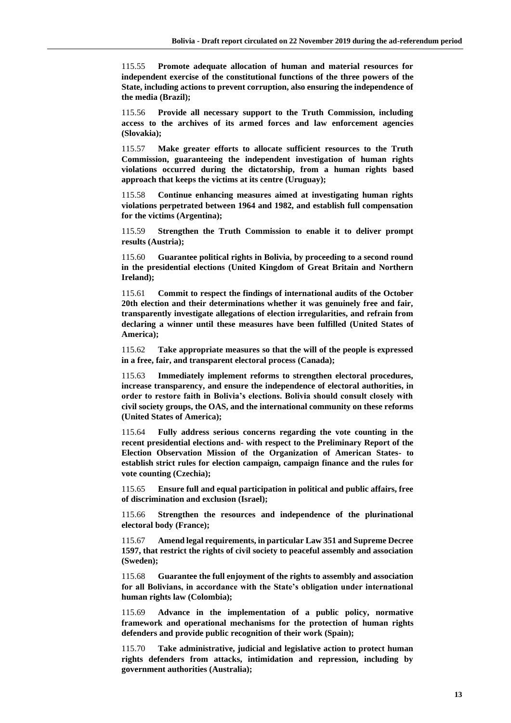115.55 **Promote adequate allocation of human and material resources for independent exercise of the constitutional functions of the three powers of the State, including actions to prevent corruption, also ensuring the independence of the media (Brazil);**

115.56 **Provide all necessary support to the Truth Commission, including access to the archives of its armed forces and law enforcement agencies (Slovakia);**

115.57 **Make greater efforts to allocate sufficient resources to the Truth Commission, guaranteeing the independent investigation of human rights violations occurred during the dictatorship, from a human rights based approach that keeps the victims at its centre (Uruguay);**

115.58 **Continue enhancing measures aimed at investigating human rights violations perpetrated between 1964 and 1982, and establish full compensation for the victims (Argentina);**

115.59 **Strengthen the Truth Commission to enable it to deliver prompt results (Austria);**

115.60 **Guarantee political rights in Bolivia, by proceeding to a second round in the presidential elections (United Kingdom of Great Britain and Northern Ireland);**

115.61 **Commit to respect the findings of international audits of the October 20th election and their determinations whether it was genuinely free and fair, transparently investigate allegations of election irregularities, and refrain from declaring a winner until these measures have been fulfilled (United States of America);**

115.62 **Take appropriate measures so that the will of the people is expressed in a free, fair, and transparent electoral process (Canada);**

115.63 **Immediately implement reforms to strengthen electoral procedures, increase transparency, and ensure the independence of electoral authorities, in order to restore faith in Bolivia's elections. Bolivia should consult closely with civil society groups, the OAS, and the international community on these reforms (United States of America);**

115.64 **Fully address serious concerns regarding the vote counting in the recent presidential elections and- with respect to the Preliminary Report of the Election Observation Mission of the Organization of American States- to establish strict rules for election campaign, campaign finance and the rules for vote counting (Czechia);**

115.65 **Ensure full and equal participation in political and public affairs, free of discrimination and exclusion (Israel);**

115.66 **Strengthen the resources and independence of the plurinational electoral body (France);**

115.67 **Amend legal requirements, in particular Law 351 and Supreme Decree 1597, that restrict the rights of civil society to peaceful assembly and association (Sweden);**

115.68 **Guarantee the full enjoyment of the rights to assembly and association for all Bolivians, in accordance with the State's obligation under international human rights law (Colombia);**

115.69 **Advance in the implementation of a public policy, normative framework and operational mechanisms for the protection of human rights defenders and provide public recognition of their work (Spain);**

115.70 **Take administrative, judicial and legislative action to protect human rights defenders from attacks, intimidation and repression, including by government authorities (Australia);**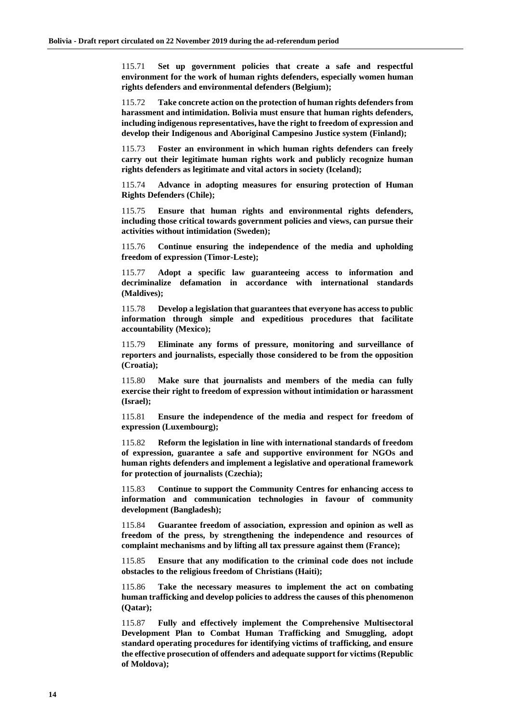115.71 **Set up government policies that create a safe and respectful environment for the work of human rights defenders, especially women human rights defenders and environmental defenders (Belgium);**

115.72 **Take concrete action on the protection of human rights defenders from harassment and intimidation. Bolivia must ensure that human rights defenders, including indigenous representatives, have the right to freedom of expression and develop their Indigenous and Aboriginal Campesino Justice system (Finland);**

115.73 **Foster an environment in which human rights defenders can freely carry out their legitimate human rights work and publicly recognize human rights defenders as legitimate and vital actors in society (Iceland);**

115.74 **Advance in adopting measures for ensuring protection of Human Rights Defenders (Chile);**

115.75 **Ensure that human rights and environmental rights defenders, including those critical towards government policies and views, can pursue their activities without intimidation (Sweden);**

115.76 **Continue ensuring the independence of the media and upholding freedom of expression (Timor-Leste);**

115.77 **Adopt a specific law guaranteeing access to information and decriminalize defamation in accordance with international standards (Maldives);**

115.78 **Develop a legislation that guarantees that everyone has access to public information through simple and expeditious procedures that facilitate accountability (Mexico);**

115.79 **Eliminate any forms of pressure, monitoring and surveillance of reporters and journalists, especially those considered to be from the opposition (Croatia);**

115.80 **Make sure that journalists and members of the media can fully exercise their right to freedom of expression without intimidation or harassment (Israel);**

115.81 **Ensure the independence of the media and respect for freedom of expression (Luxembourg);**

115.82 **Reform the legislation in line with international standards of freedom of expression, guarantee a safe and supportive environment for NGOs and human rights defenders and implement a legislative and operational framework for protection of journalists (Czechia);**

115.83 **Continue to support the Community Centres for enhancing access to information and communication technologies in favour of community development (Bangladesh);**

115.84 **Guarantee freedom of association, expression and opinion as well as freedom of the press, by strengthening the independence and resources of complaint mechanisms and by lifting all tax pressure against them (France);**

115.85 **Ensure that any modification to the criminal code does not include obstacles to the religious freedom of Christians (Haiti);**

115.86 **Take the necessary measures to implement the act on combating human trafficking and develop policies to address the causes of this phenomenon (Qatar);**

115.87 **Fully and effectively implement the Comprehensive Multisectoral Development Plan to Combat Human Trafficking and Smuggling, adopt standard operating procedures for identifying victims of trafficking, and ensure the effective prosecution of offenders and adequate support for victims (Republic of Moldova);**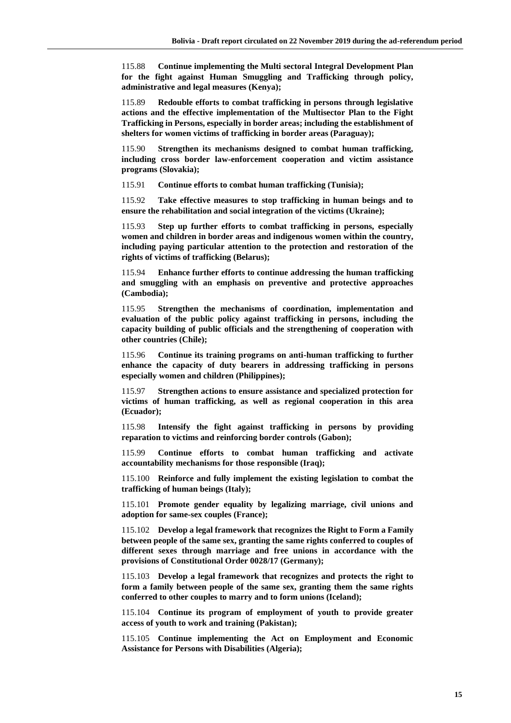115.88 **Continue implementing the Multi sectoral Integral Development Plan for the fight against Human Smuggling and Trafficking through policy, administrative and legal measures (Kenya);**

115.89 **Redouble efforts to combat trafficking in persons through legislative actions and the effective implementation of the Multisector Plan to the Fight Trafficking in Persons, especially in border areas; including the establishment of shelters for women victims of trafficking in border areas (Paraguay);**

115.90 **Strengthen its mechanisms designed to combat human trafficking, including cross border law-enforcement cooperation and victim assistance programs (Slovakia);**

115.91 **Continue efforts to combat human trafficking (Tunisia);**

115.92 **Take effective measures to stop trafficking in human beings and to ensure the rehabilitation and social integration of the victims (Ukraine);**

115.93 **Step up further efforts to combat trafficking in persons, especially women and children in border areas and indigenous women within the country, including paying particular attention to the protection and restoration of the rights of victims of trafficking (Belarus);**

115.94 **Enhance further efforts to continue addressing the human trafficking and smuggling with an emphasis on preventive and protective approaches (Cambodia);**

115.95 **Strengthen the mechanisms of coordination, implementation and evaluation of the public policy against trafficking in persons, including the capacity building of public officials and the strengthening of cooperation with other countries (Chile);**

115.96 **Continue its training programs on anti-human trafficking to further enhance the capacity of duty bearers in addressing trafficking in persons especially women and children (Philippines);**

115.97 **Strengthen actions to ensure assistance and specialized protection for victims of human trafficking, as well as regional cooperation in this area (Ecuador);**

115.98 **Intensify the fight against trafficking in persons by providing reparation to victims and reinforcing border controls (Gabon);**

115.99 **Continue efforts to combat human trafficking and activate accountability mechanisms for those responsible (Iraq);**

115.100 **Reinforce and fully implement the existing legislation to combat the trafficking of human beings (Italy);**

115.101 **Promote gender equality by legalizing marriage, civil unions and adoption for same-sex couples (France);**

115.102 **Develop a legal framework that recognizes the Right to Form a Family between people of the same sex, granting the same rights conferred to couples of different sexes through marriage and free unions in accordance with the provisions of Constitutional Order 0028/17 (Germany);**

115.103 **Develop a legal framework that recognizes and protects the right to form a family between people of the same sex, granting them the same rights conferred to other couples to marry and to form unions (Iceland);**

115.104 **Continue its program of employment of youth to provide greater access of youth to work and training (Pakistan);**

115.105 **Continue implementing the Act on Employment and Economic Assistance for Persons with Disabilities (Algeria);**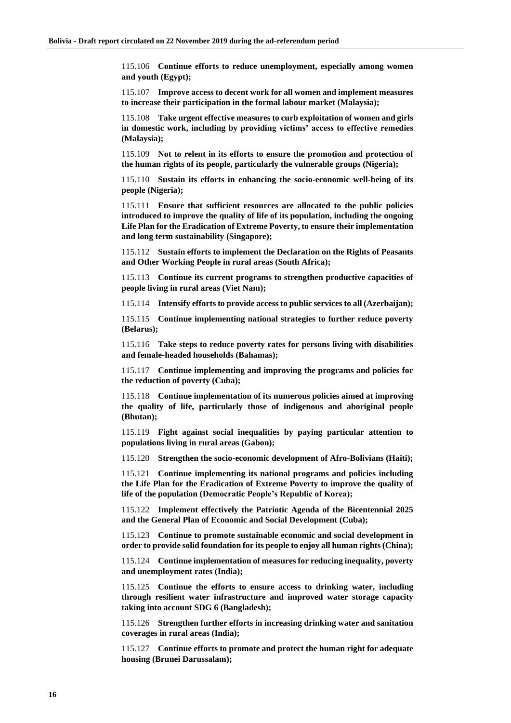115.106 **Continue efforts to reduce unemployment, especially among women and youth (Egypt);**

115.107 **Improve access to decent work for all women and implement measures to increase their participation in the formal labour market (Malaysia);**

115.108 **Take urgent effective measures to curb exploitation of women and girls in domestic work, including by providing victims' access to effective remedies (Malaysia);**

115.109 **Not to relent in its efforts to ensure the promotion and protection of the human rights of its people, particularly the vulnerable groups (Nigeria);**

115.110 **Sustain its efforts in enhancing the socio-economic well-being of its people (Nigeria);**

115.111 **Ensure that sufficient resources are allocated to the public policies introduced to improve the quality of life of its population, including the ongoing Life Plan for the Eradication of Extreme Poverty, to ensure their implementation and long term sustainability (Singapore);**

115.112 **Sustain efforts to implement the Declaration on the Rights of Peasants and Other Working People in rural areas (South Africa);**

115.113 **Continue its current programs to strengthen productive capacities of people living in rural areas (Viet Nam);**

115.114 **Intensify efforts to provide access to public services to all (Azerbaijan);**

115.115 **Continue implementing national strategies to further reduce poverty (Belarus);**

115.116 **Take steps to reduce poverty rates for persons living with disabilities and female-headed households (Bahamas);**

115.117 **Continue implementing and improving the programs and policies for the reduction of poverty (Cuba);**

115.118 **Continue implementation of its numerous policies aimed at improving the quality of life, particularly those of indigenous and aboriginal people (Bhutan);**

115.119 **Fight against social inequalities by paying particular attention to populations living in rural areas (Gabon);**

115.120 **Strengthen the socio-economic development of Afro-Bolivians (Haiti);**

115.121 **Continue implementing its national programs and policies including the Life Plan for the Eradication of Extreme Poverty to improve the quality of life of the population (Democratic People's Republic of Korea);**

115.122 **Implement effectively the Patriotic Agenda of the Bicentennial 2025 and the General Plan of Economic and Social Development (Cuba);**

115.123 **Continue to promote sustainable economic and social development in order to provide solid foundation for its people to enjoy all human rights (China);**

115.124 **Continue implementation of measures for reducing inequality, poverty and unemployment rates (India);**

115.125 **Continue the efforts to ensure access to drinking water, including through resilient water infrastructure and improved water storage capacity taking into account SDG 6 (Bangladesh);**

115.126 **Strengthen further efforts in increasing drinking water and sanitation coverages in rural areas (India);**

115.127 **Continue efforts to promote and protect the human right for adequate housing (Brunei Darussalam);**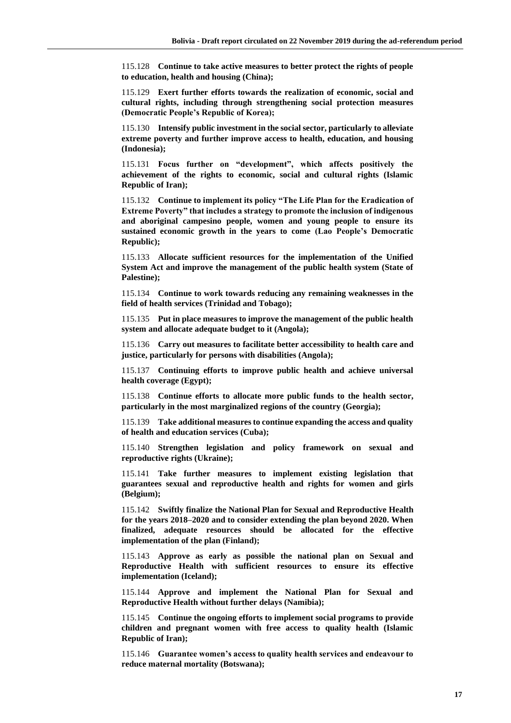115.128 **Continue to take active measures to better protect the rights of people to education, health and housing (China);**

115.129 **Exert further efforts towards the realization of economic, social and cultural rights, including through strengthening social protection measures (Democratic People's Republic of Korea);**

115.130 **Intensify public investment in the social sector, particularly to alleviate extreme poverty and further improve access to health, education, and housing (Indonesia);**

115.131 **Focus further on "development", which affects positively the achievement of the rights to economic, social and cultural rights (Islamic Republic of Iran);**

115.132 **Continue to implement its policy "The Life Plan for the Eradication of Extreme Poverty" that includes a strategy to promote the inclusion of indigenous and aboriginal campesino people, women and young people to ensure its sustained economic growth in the years to come (Lao People's Democratic Republic);**

115.133 **Allocate sufficient resources for the implementation of the Unified System Act and improve the management of the public health system (State of Palestine);**

115.134 **Continue to work towards reducing any remaining weaknesses in the field of health services (Trinidad and Tobago);**

115.135 **Put in place measures to improve the management of the public health system and allocate adequate budget to it (Angola);**

115.136 **Carry out measures to facilitate better accessibility to health care and justice, particularly for persons with disabilities (Angola);**

115.137 **Continuing efforts to improve public health and achieve universal health coverage (Egypt);**

115.138 **Continue efforts to allocate more public funds to the health sector, particularly in the most marginalized regions of the country (Georgia);**

115.139 **Take additional measures to continue expanding the access and quality of health and education services (Cuba);**

115.140 **Strengthen legislation and policy framework on sexual and reproductive rights (Ukraine);**

115.141 **Take further measures to implement existing legislation that guarantees sexual and reproductive health and rights for women and girls (Belgium);**

115.142 **Swiftly finalize the National Plan for Sexual and Reproductive Health for the years 2018–2020 and to consider extending the plan beyond 2020. When finalized, adequate resources should be allocated for the effective implementation of the plan (Finland);**

115.143 **Approve as early as possible the national plan on Sexual and Reproductive Health with sufficient resources to ensure its effective implementation (Iceland);**

115.144 **Approve and implement the National Plan for Sexual and Reproductive Health without further delays (Namibia);**

115.145 **Continue the ongoing efforts to implement social programs to provide children and pregnant women with free access to quality health (Islamic Republic of Iran);**

115.146 **Guarantee women's access to quality health services and endeavour to reduce maternal mortality (Botswana);**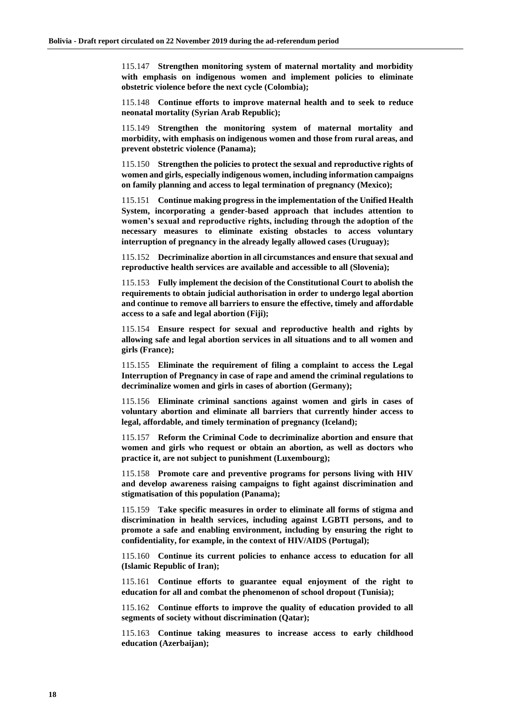115.147 **Strengthen monitoring system of maternal mortality and morbidity with emphasis on indigenous women and implement policies to eliminate obstetric violence before the next cycle (Colombia);**

115.148 **Continue efforts to improve maternal health and to seek to reduce neonatal mortality (Syrian Arab Republic);**

115.149 **Strengthen the monitoring system of maternal mortality and morbidity, with emphasis on indigenous women and those from rural areas, and prevent obstetric violence (Panama);**

115.150 **Strengthen the policies to protect the sexual and reproductive rights of women and girls, especially indigenous women, including information campaigns on family planning and access to legal termination of pregnancy (Mexico);**

115.151 **Continue making progress in the implementation of the Unified Health System, incorporating a gender-based approach that includes attention to women's sexual and reproductive rights, including through the adoption of the necessary measures to eliminate existing obstacles to access voluntary interruption of pregnancy in the already legally allowed cases (Uruguay);**

115.152 **Decriminalize abortion in all circumstances and ensure that sexual and reproductive health services are available and accessible to all (Slovenia);**

115.153 **Fully implement the decision of the Constitutional Court to abolish the requirements to obtain judicial authorisation in order to undergo legal abortion and continue to remove all barriers to ensure the effective, timely and affordable access to a safe and legal abortion (Fiji);**

115.154 **Ensure respect for sexual and reproductive health and rights by allowing safe and legal abortion services in all situations and to all women and girls (France);**

115.155 **Eliminate the requirement of filing a complaint to access the Legal Interruption of Pregnancy in case of rape and amend the criminal regulations to decriminalize women and girls in cases of abortion (Germany);**

115.156 **Eliminate criminal sanctions against women and girls in cases of voluntary abortion and eliminate all barriers that currently hinder access to legal, affordable, and timely termination of pregnancy (Iceland);**

115.157 **Reform the Criminal Code to decriminalize abortion and ensure that women and girls who request or obtain an abortion, as well as doctors who practice it, are not subject to punishment (Luxembourg);**

115.158 **Promote care and preventive programs for persons living with HIV and develop awareness raising campaigns to fight against discrimination and stigmatisation of this population (Panama);**

115.159 **Take specific measures in order to eliminate all forms of stigma and discrimination in health services, including against LGBTI persons, and to promote a safe and enabling environment, including by ensuring the right to confidentiality, for example, in the context of HIV/AIDS (Portugal);**

115.160 **Continue its current policies to enhance access to education for all (Islamic Republic of Iran);**

115.161 **Continue efforts to guarantee equal enjoyment of the right to education for all and combat the phenomenon of school dropout (Tunisia);**

115.162 **Continue efforts to improve the quality of education provided to all segments of society without discrimination (Qatar);**

115.163 **Continue taking measures to increase access to early childhood education (Azerbaijan);**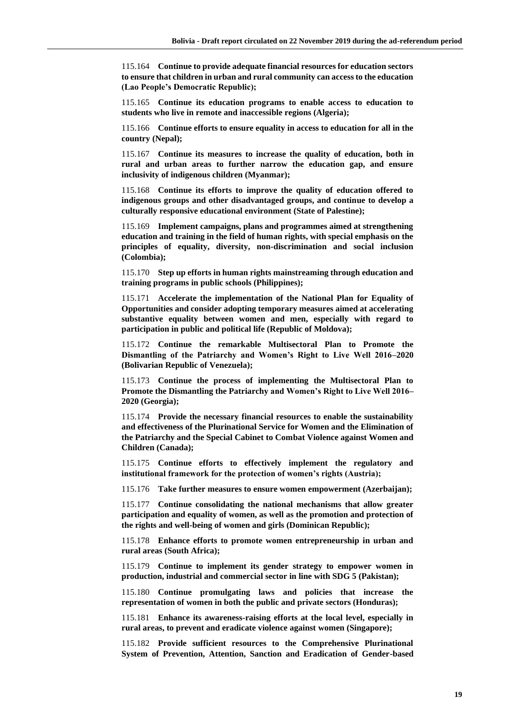115.164 **Continue to provide adequate financial resources for education sectors to ensure that children in urban and rural community can access to the education (Lao People's Democratic Republic);**

115.165 **Continue its education programs to enable access to education to students who live in remote and inaccessible regions (Algeria);**

115.166 **Continue efforts to ensure equality in access to education for all in the country (Nepal);**

115.167 **Continue its measures to increase the quality of education, both in rural and urban areas to further narrow the education gap, and ensure inclusivity of indigenous children (Myanmar);**

115.168 **Continue its efforts to improve the quality of education offered to indigenous groups and other disadvantaged groups, and continue to develop a culturally responsive educational environment (State of Palestine);**

115.169 **Implement campaigns, plans and programmes aimed at strengthening education and training in the field of human rights, with special emphasis on the principles of equality, diversity, non-discrimination and social inclusion (Colombia);**

115.170 **Step up efforts in human rights mainstreaming through education and training programs in public schools (Philippines);**

115.171 **Accelerate the implementation of the National Plan for Equality of Opportunities and consider adopting temporary measures aimed at accelerating substantive equality between women and men, especially with regard to participation in public and political life (Republic of Moldova);**

115.172 **Continue the remarkable Multisectoral Plan to Promote the Dismantling of the Patriarchy and Women's Right to Live Well 2016–2020 (Bolivarian Republic of Venezuela);**

115.173 **Continue the process of implementing the Multisectoral Plan to Promote the Dismantling the Patriarchy and Women's Right to Live Well 2016– 2020 (Georgia);**

115.174 **Provide the necessary financial resources to enable the sustainability and effectiveness of the Plurinational Service for Women and the Elimination of the Patriarchy and the Special Cabinet to Combat Violence against Women and Children (Canada);**

115.175 **Continue efforts to effectively implement the regulatory and institutional framework for the protection of women's rights (Austria);**

115.176 **Take further measures to ensure women empowerment (Azerbaijan);**

115.177 **Continue consolidating the national mechanisms that allow greater participation and equality of women, as well as the promotion and protection of the rights and well-being of women and girls (Dominican Republic);**

115.178 **Enhance efforts to promote women entrepreneurship in urban and rural areas (South Africa);**

115.179 **Continue to implement its gender strategy to empower women in production, industrial and commercial sector in line with SDG 5 (Pakistan);**

115.180 **Continue promulgating laws and policies that increase the representation of women in both the public and private sectors (Honduras);**

115.181 **Enhance its awareness-raising efforts at the local level, especially in rural areas, to prevent and eradicate violence against women (Singapore);**

115.182 **Provide sufficient resources to the Comprehensive Plurinational System of Prevention, Attention, Sanction and Eradication of Gender-based**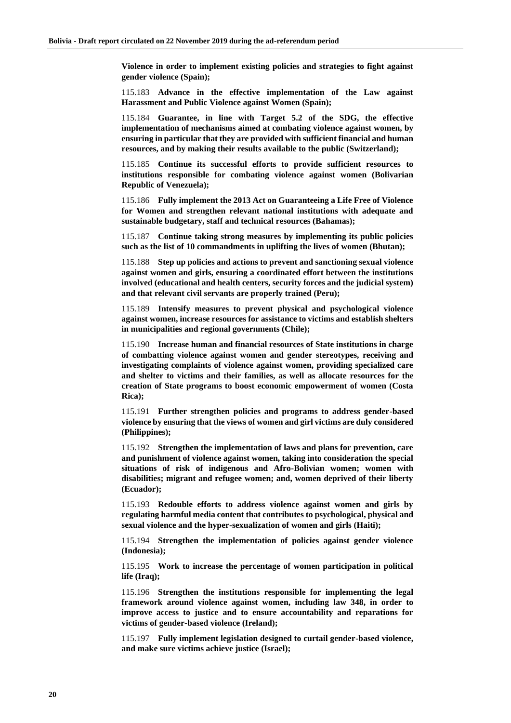**Violence in order to implement existing policies and strategies to fight against gender violence (Spain);**

115.183 **Advance in the effective implementation of the Law against Harassment and Public Violence against Women (Spain);**

115.184 **Guarantee, in line with Target 5.2 of the SDG, the effective implementation of mechanisms aimed at combating violence against women, by ensuring in particular that they are provided with sufficient financial and human resources, and by making their results available to the public (Switzerland);**

115.185 **Continue its successful efforts to provide sufficient resources to institutions responsible for combating violence against women (Bolivarian Republic of Venezuela);**

115.186 **Fully implement the 2013 Act on Guaranteeing a Life Free of Violence for Women and strengthen relevant national institutions with adequate and sustainable budgetary, staff and technical resources (Bahamas);**

115.187 **Continue taking strong measures by implementing its public policies such as the list of 10 commandments in uplifting the lives of women (Bhutan);**

115.188 **Step up policies and actions to prevent and sanctioning sexual violence against women and girls, ensuring a coordinated effort between the institutions involved (educational and health centers, security forces and the judicial system) and that relevant civil servants are properly trained (Peru);**

115.189 **Intensify measures to prevent physical and psychological violence against women, increase resources for assistance to victims and establish shelters in municipalities and regional governments (Chile);**

115.190 **Increase human and financial resources of State institutions in charge of combatting violence against women and gender stereotypes, receiving and investigating complaints of violence against women, providing specialized care and shelter to victims and their families, as well as allocate resources for the creation of State programs to boost economic empowerment of women (Costa Rica);**

115.191 **Further strengthen policies and programs to address gender-based violence by ensuring that the views of women and girl victims are duly considered (Philippines);**

115.192 **Strengthen the implementation of laws and plans for prevention, care and punishment of violence against women, taking into consideration the special situations of risk of indigenous and Afro-Bolivian women; women with disabilities; migrant and refugee women; and, women deprived of their liberty (Ecuador);**

115.193 **Redouble efforts to address violence against women and girls by regulating harmful media content that contributes to psychological, physical and sexual violence and the hyper-sexualization of women and girls (Haiti);**

115.194 **Strengthen the implementation of policies against gender violence (Indonesia);**

115.195 **Work to increase the percentage of women participation in political life (Iraq);**

115.196 **Strengthen the institutions responsible for implementing the legal framework around violence against women, including law 348, in order to improve access to justice and to ensure accountability and reparations for victims of gender-based violence (Ireland);**

115.197 **Fully implement legislation designed to curtail gender-based violence, and make sure victims achieve justice (Israel);**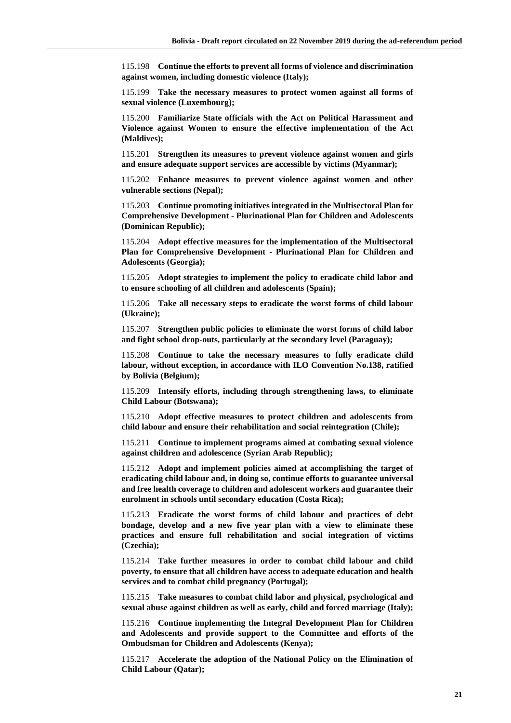115.198 **Continue the efforts to prevent all forms of violence and discrimination against women, including domestic violence (Italy);**

115.199 **Take the necessary measures to protect women against all forms of sexual violence (Luxembourg);**

115.200 **Familiarize State officials with the Act on Political Harassment and Violence against Women to ensure the effective implementation of the Act (Maldives);**

115.201 **Strengthen its measures to prevent violence against women and girls and ensure adequate support services are accessible by victims (Myanmar);**

115.202 **Enhance measures to prevent violence against women and other vulnerable sections (Nepal);**

115.203 **Continue promoting initiatives integrated in the Multisectoral Plan for Comprehensive Development - Plurinational Plan for Children and Adolescents (Dominican Republic);**

115.204 **Adopt effective measures for the implementation of the Multisectoral Plan for Comprehensive Development - Plurinational Plan for Children and Adolescents (Georgia);**

115.205 **Adopt strategies to implement the policy to eradicate child labor and to ensure schooling of all children and adolescents (Spain);**

115.206 **Take all necessary steps to eradicate the worst forms of child labour (Ukraine);**

115.207 **Strengthen public policies to eliminate the worst forms of child labor and fight school drop-outs, particularly at the secondary level (Paraguay);**

115.208 **Continue to take the necessary measures to fully eradicate child labour, without exception, in accordance with ILO Convention No.138, ratified by Bolivia (Belgium);**

115.209 **Intensify efforts, including through strengthening laws, to eliminate Child Labour (Botswana);**

115.210 **Adopt effective measures to protect children and adolescents from child labour and ensure their rehabilitation and social reintegration (Chile);**

115.211 **Continue to implement programs aimed at combating sexual violence against children and adolescence (Syrian Arab Republic);**

115.212 **Adopt and implement policies aimed at accomplishing the target of eradicating child labour and, in doing so, continue efforts to guarantee universal and free health coverage to children and adolescent workers and guarantee their enrolment in schools until secondary education (Costa Rica);**

115.213 **Eradicate the worst forms of child labour and practices of debt bondage, develop and a new five year plan with a view to eliminate these practices and ensure full rehabilitation and social integration of victims (Czechia);**

115.214 **Take further measures in order to combat child labour and child poverty, to ensure that all children have access to adequate education and health services and to combat child pregnancy (Portugal);**

115.215 **Take measures to combat child labor and physical, psychological and sexual abuse against children as well as early, child and forced marriage (Italy);**

115.216 **Continue implementing the Integral Development Plan for Children and Adolescents and provide support to the Committee and efforts of the Ombudsman for Children and Adolescents (Kenya);**

115.217 **Accelerate the adoption of the National Policy on the Elimination of Child Labour (Qatar);**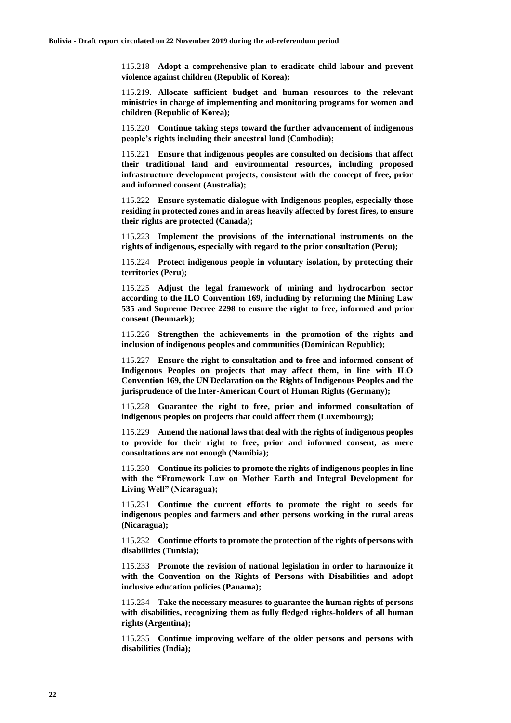115.218 **Adopt a comprehensive plan to eradicate child labour and prevent violence against children (Republic of Korea);**

115.219. **Allocate sufficient budget and human resources to the relevant ministries in charge of implementing and monitoring programs for women and children (Republic of Korea);**

115.220 **Continue taking steps toward the further advancement of indigenous people's rights including their ancestral land (Cambodia);**

115.221 **Ensure that indigenous peoples are consulted on decisions that affect their traditional land and environmental resources, including proposed infrastructure development projects, consistent with the concept of free, prior and informed consent (Australia);**

115.222 **Ensure systematic dialogue with Indigenous peoples, especially those residing in protected zones and in areas heavily affected by forest fires, to ensure their rights are protected (Canada);**

115.223 **Implement the provisions of the international instruments on the rights of indigenous, especially with regard to the prior consultation (Peru);**

115.224 **Protect indigenous people in voluntary isolation, by protecting their territories (Peru);**

115.225 **Adjust the legal framework of mining and hydrocarbon sector according to the ILO Convention 169, including by reforming the Mining Law 535 and Supreme Decree 2298 to ensure the right to free, informed and prior consent (Denmark);**

115.226 **Strengthen the achievements in the promotion of the rights and inclusion of indigenous peoples and communities (Dominican Republic);**

115.227 **Ensure the right to consultation and to free and informed consent of Indigenous Peoples on projects that may affect them, in line with ILO Convention 169, the UN Declaration on the Rights of Indigenous Peoples and the jurisprudence of the Inter-American Court of Human Rights (Germany);**

115.228 **Guarantee the right to free, prior and informed consultation of indigenous peoples on projects that could affect them (Luxembourg);**

115.229 **Amend the national laws that deal with the rights of indigenous peoples to provide for their right to free, prior and informed consent, as mere consultations are not enough (Namibia);**

115.230 **Continue its policies to promote the rights of indigenous peoples in line with the "Framework Law on Mother Earth and Integral Development for Living Well" (Nicaragua);**

115.231 **Continue the current efforts to promote the right to seeds for indigenous peoples and farmers and other persons working in the rural areas (Nicaragua);**

115.232 **Continue efforts to promote the protection of the rights of persons with disabilities (Tunisia);**

115.233 **Promote the revision of national legislation in order to harmonize it with the Convention on the Rights of Persons with Disabilities and adopt inclusive education policies (Panama);**

115.234 **Take the necessary measures to guarantee the human rights of persons with disabilities, recognizing them as fully fledged rights-holders of all human rights (Argentina);**

115.235 **Continue improving welfare of the older persons and persons with disabilities (India);**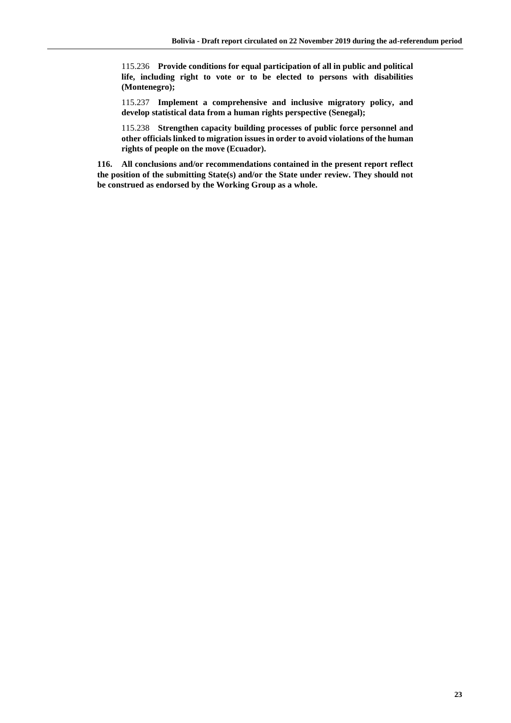115.236 **Provide conditions for equal participation of all in public and political life, including right to vote or to be elected to persons with disabilities (Montenegro);**

115.237 **Implement a comprehensive and inclusive migratory policy, and develop statistical data from a human rights perspective (Senegal);**

115.238 **Strengthen capacity building processes of public force personnel and other officials linked to migration issues in order to avoid violations of the human rights of people on the move (Ecuador).**

**116. All conclusions and/or recommendations contained in the present report reflect the position of the submitting State(s) and/or the State under review. They should not be construed as endorsed by the Working Group as a whole.**